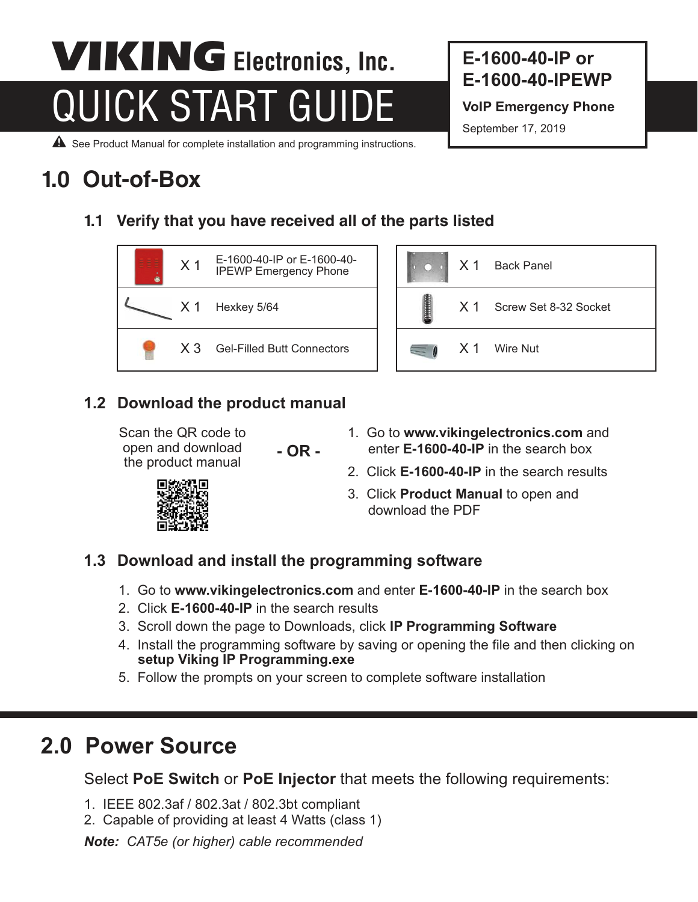# **QUICK START GUIDE** VoIP Emergency Phone **VIKING** Electronics, Inc.

**E-1600-40-IP or E-1600-40-IPEWP**

September 17, 2019

A See Product Manual for complete installation and programming instructions.

## **1.0 Out-of-Box**

**1.1 Verify that you have received all of the parts listed**





#### **1.2 Download the product manual**

Scan the QR code to open and download the product manual

**- OR -**

- 1. Go to **www.vikingelectronics.com** and enter **E-1600-40-IP** in the search box
- 2. Click **E-1600-40-IP** in the search results
- 3. Click **Product Manual** to open and download the PDF

#### **1.3 Download and install the programming software**

- 1. Go to **www.vikingelectronics.com** and enter **E-1600-40-IP** in the search box
- 2. Click **E-1600-40-IP** in the search results
- 3. Scroll down the page to Downloads, click **IP Programming Software**
- 4. Install the programming software by saving or opening the file and then clicking on **setup Viking IP Programming.exe**
- 5. Follow the prompts on your screen to complete software installation

## **2.0 Power Source**

Select **PoE Switch** or **PoE Injector** that meets the following requirements:

- 1. IEEE 802.3af / 802.3at / 802.3bt compliant
- 2. Capable of providing at least 4 Watts (class 1)

*Note: CAT5e (or higher) cable recommended*